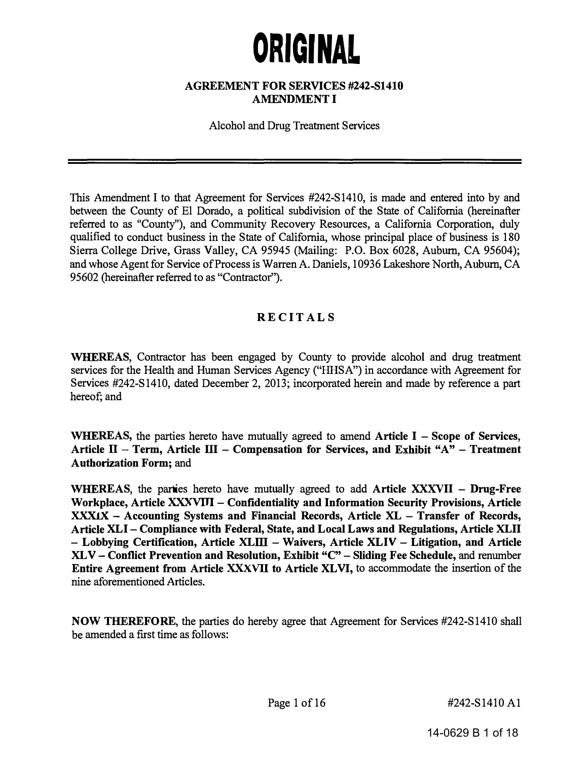# ORIGINAL

#### AGREEMENT FOR SERVICES #242-S1410 AMENDMENT I

Alcohol and Drug Treatment Services

This Amendment I to that Agreement for Services #242-S1410, is made and entered into by and between the County of El Dorado, a political subdivision of the State of California (hereinafter referred to as "County"), and Community Recovery Resources, a California Corporation, duly qualified to conduct business in the State of California, whose principal place of business is 180 Sierra College Drive, Grass Valley, CA 95945 (Mailing: P.O. Box 6028, Auburn, CA 95604); and whose Agent for Service of Process is Warren A. Daniels, 10936 Lakeshore North, Auburn, CA 95602 (hereinafter referred to as "Contractor").

# **RECITALS**

WHEREAS, Contractor has been engaged by County to provide alcohol and drug treatment services for the Health and Human Services Agency ("HHSA") in accordance with Agreement for Services #242-S1410, dated December 2, 2013; incorporated herein and made by reference a part hereof; and

**WHEREAS,** the parties hereto have mutually agreed to amend  $\overline{Article}$  I – Scope of Services, Article  $II$  – Term, Article  $III$  – Compensation for Services, and Exhibit "A" – Treatment Authorization Form; and

WHEREAS, the parties hereto have mutually agreed to add Article XXXVII – Drug-Free XXXIX - Accounting Systems and Financial Records, Article XL - Transfer of Records, Workplace, Article XXXVIII - Confidentiality and Information Security Provisions, Article Article XLI - Compliance with Federal, State, and Local Laws and Regulations, Article XLII - Lobbying Certification, Article XLIII - Waivers, Article XLIV - Litigation, and Article XLV - Conflict Prevention and Resolution, Exhibit "C" - Sliding Fee Schedule, and renumber Entire Agreement from Article XXXVII to Article XL VI, to accommodate the insertion of the nine aforementioned Articles.

NOW THEREFORE, the parties do hereby agree that Agreement for Services #242-S1410 shall be amended a first time as follows:

Page 1 of 16 #242-S1410 A1

14-0629 B 1 of 18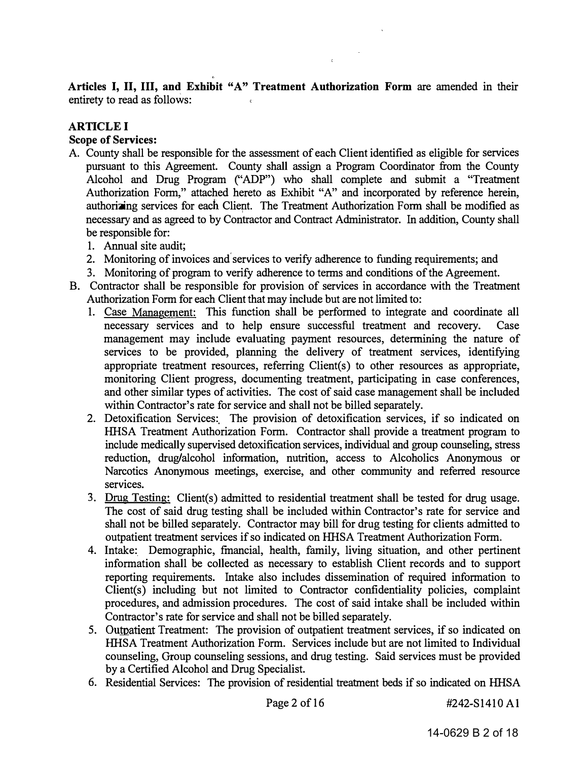Articles I, II, III, and Exhibit "A" Treatment Authorization Form are amended in their entirety to read as follows:

## ARTICLE I

#### Scope of Services:

- A. County shall be responsible for the assessment of each Client identified as eligible for services pursuant to this Agreement. County shall assign a Program Coordinator from the County Alcohol and Drug Program ("ADP") who shall complete and submit a "Treatment Authorization Form," attached hereto as Exhibit "A" and incorporated by reference herein, authorizing services for each Cliert. The Treatment Authorization Form shall be modified as necessary and as agreed to by Contractor and Contract Administrator. In addition, County shall be responsible for:
	- 1. Annual site audit;
	- 2. Monitoring of invoices and services to verify adherence to funding requirements; and
	- 3. Monitoring of program to verify adherence to terms and conditions of the Agreement.
- B. Contractor shall be responsible for provision of services in accordance with the Treatment Authorization Form for each Client that may include but are not limited to:
	- 1. Case Management: This function shall be performed to integrate and coordinate all necessary services and to help ensure successful treatment and recovery. Case management may include evaluating payment resources, determining the nature of services to be provided, planning the delivery of treatment services, identifying appropriate treatment resources, referring Client(s) to other resources as appropriate, monitoring Client progress, documenting treatment, participating in case conferences, and other similar types of activities. The cost of said case management shall be included within Contractor's rate for service and shall not be billed separately.
	- 2. Detoxification Services: The provision of detoxification services, if so indicated on HHSA Treatment Authorization Form. Contractor shall provide a treatment program to include medically supervised detoxification services, individual and group counseling, stress reduction, drug/alcohol information, nutrition, access to Alcoholics Anonymous or Narcotics Anonymous meetings, exercise, and other community and referred resource services.
	- 3. Drug Testing: Client(s) admitted to residential treatment shall be tested for drug usage. The cost of said drug testing shall be included within Contractor's rate for service and shall not be billed separately. Contractor may bill for drug testing for clients admitted to outpatient treatment services if so indicated on HHSA Treatment Authorization Form.
	- 4. Intake: Demographic, fmancial, health, family, living situation, and other pertinent information shall be collected as necessary to establish Client records and to support reporting requirements. Intake also includes dissemination of required information to Client(s) including but not limited to Contractor confidentiality policies, complaint procedures, and admission procedures. The cost of said intake shall be included within Contractor's rate for service and shall not be billed separately.
	- 5. Outpatient Treatment: The provision of outpatient treatment services, if so indicated on HHSA Treatment Authorization Form. Services include but are not limited to Individual counseling, Group counseling sessions, and drug testing. Said services must be provided by a Certified Alcohol and Drug Specialist.
	- 6. Residential Services: The provision of residential treatment beds if so indicated on HHSA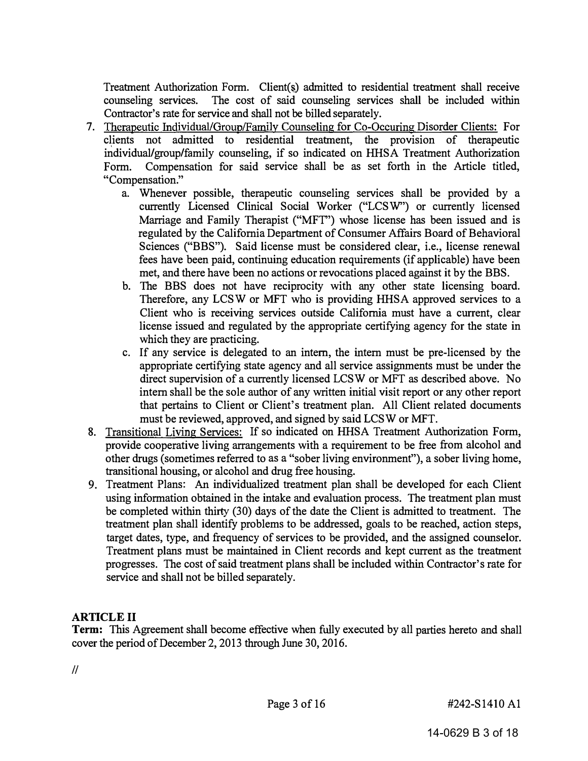Treatment Authorization Form. Client(s) admitted to residential treatment shall receive counseling services. The cost of said counseling services shall be included within Contractor's rate for service and shall not be billed separately.

- 7. Therapeutic Individual/Group/Family Counseling for Co-Occuring Disorder Clients: For clients not admitted to residential treatment, the provision of therapeutic individual/group/family counseling, if so indicated on HHSA Treatment Authorization Form. Compensation for said service shall be as set forth in the Article titled, "Compensation."
	- a. Whenever possible, therapeutic counseling services shall be provided by a currently Licensed Clinical Social Worker ("LCSW") or currently licensed Marriage and Family Therapist ("MFT") whose license has been issued and is regulated by the California Department of Consumer Affairs Board of Behavioral Sciences ("BBS"). Said license must be considered clear, i.e., license renewal fees have been paid, continuing education requirements (if applicable) have been met, and there have been no actions or revocations placed against it by the BBS.
	- b. The BBS does not have reciprocity with any other state licensing board. Therefore, any LCSW or MFT who is providing HHSA approved services to a Client who is receiving services outside California must have a current, clear license issued and regulated by the appropriate certifying agency for the state in which they are practicing.
	- c. If any service is delegated to an intern, the intern must be pre-licensed by the appropriate certifying state agency and all service assignments must be under the direct supervision of a currently licensed LCSW or MFT as described above. No intern shall be the sole author of any written initial visit report or any other report that pertains to Client or Client's treatment plan. All Client related documents must be reviewed, approved, and signed by said LCSW or MFT.
- 8. Transitional Living Services: If so indicated on HHSA Treatment Authorization Form, provide cooperative living arrangements with a requirement to be free from alcohol and other drugs (sometimes referred to as a "sober living environment"), a sober living home, transitional housing, or alcohol and drug free housing.
- 9. Treatment Plans: An individualized treatment plan shall be developed for each Client using information obtained in the intake and evaluation process. The treatment plan must be completed within thirty (30) days of the date the Client is admitted to treatment. The treatment plan shall identify problems to be addressed, goals to be reached, action steps, target dates, type, and frequency of services to be provided, and the assigned counselor. Treatment plans must be maintained in Client records and kept current as the treatment progresses. The cost of said treatment plans shall be included within Contractor's rate for service and shall not be billed separately.

# ARTICLE II

Term: This Agreement shall become effective when fully executed by all parties hereto and shall cover the period of December 2, 2013 through June 30, 2016.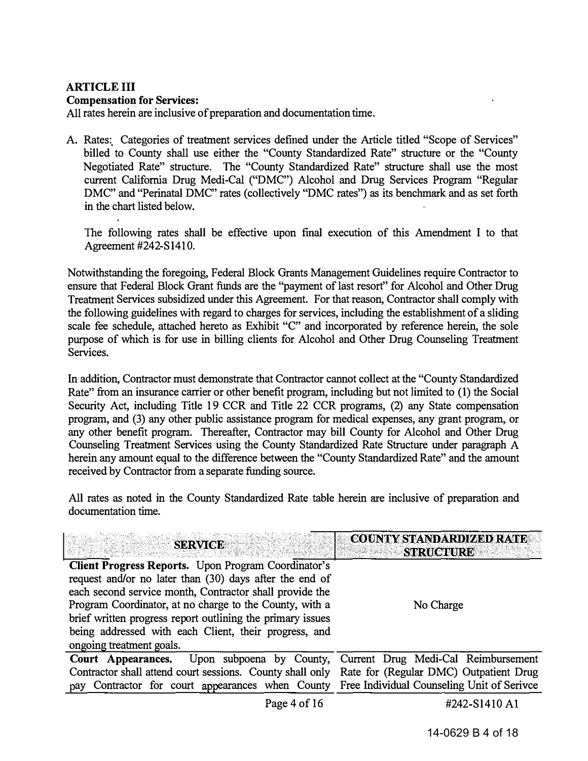# ARTICLE III Compensation for Services:

All rates herein are inclusive of preparation and documentation time.

A. Rates: Categories of treatment services defined under the Article titled "Scope of Services" billed to County shall use either the "County Standardized Rate" structure or the "County Negotiated Rate" structure. The "County Standardized Rate" structure shall use the most current California Drug Medi-Cal ("DMC") Alcohol and Drug Services Program "Regular DMC" and "Perinatal DMC" rates (collectively "DMC rates") as its benchmark and as set forth in the chart listed below.

The following rates shall be effective upon final execution of this Amendment I to that Agreement #242-S 1410.

Notwithstanding the foregoing, Federal Block Grants Management Guidelines require Contractor to ensure that Federal Block Grant ftmds are the "payment of last resort" for Alcohol and Other Drug Treatment Services subsidized under this Agreement. For that reason, Contractor shall comply with the following guidelines with regard to charges for services, including the establishment of a sliding scale fee schedule, attached hereto as Exhibit "C" and incorporated by reference herein, the sole purpose of which is for use in billing clients for Alcohol and Other Drug Counseling Treatment Services.

In addition, Contractor must demonstrate that Contractor cannot collect at the "County Standardized Rate" from an insurance carrier or other benefit program, including but not limited to (1) the Social Security Act, including Title 19 CCR and Title 22 CCR programs, (2) any State compensation program, and (3) any other public assistance program for medical expenses, any grant program, or any other benefit program. Thereafter, Contractor may bill County for Alcohol and Other Drug Counseling Treatment Services using the County Standardized Rate Structure under paragraph A herein any amount equal to the difference between the "County Standardized Rate" and the amount received by Contractor from a separate ftmding source.

All rates as noted in the County Standardized Rate table herein are inclusive of preparation and documentation time.

| <b>SERVICE</b>                                                                                                                                                                                                                                                                                                                                                                          | <b>COUNTY STANDARDIZED RATE</b><br><b>STRUCTURE</b> |
|-----------------------------------------------------------------------------------------------------------------------------------------------------------------------------------------------------------------------------------------------------------------------------------------------------------------------------------------------------------------------------------------|-----------------------------------------------------|
| Client Progress Reports. Upon Program Coordinator's<br>request and/or no later than (30) days after the end of<br>each second service month, Contractor shall provide the<br>Program Coordinator, at no charge to the County, with a<br>brief written progress report outlining the primary issues<br>being addressed with each Client, their progress, and<br>ongoing treatment goals. | No Charge                                           |
| Court Appearances. Upon subpoena by County, Current Drug Medi-Cal Reimbursement<br>Contractor shall attend court sessions. County shall only Rate for (Regular DMC) Outpatient Drug<br>pay Contractor for court appearances when County Free Individual Counseling Unit of Serivce                                                                                                      |                                                     |
| Page 4 of 16                                                                                                                                                                                                                                                                                                                                                                            | #242-S1410 A1                                       |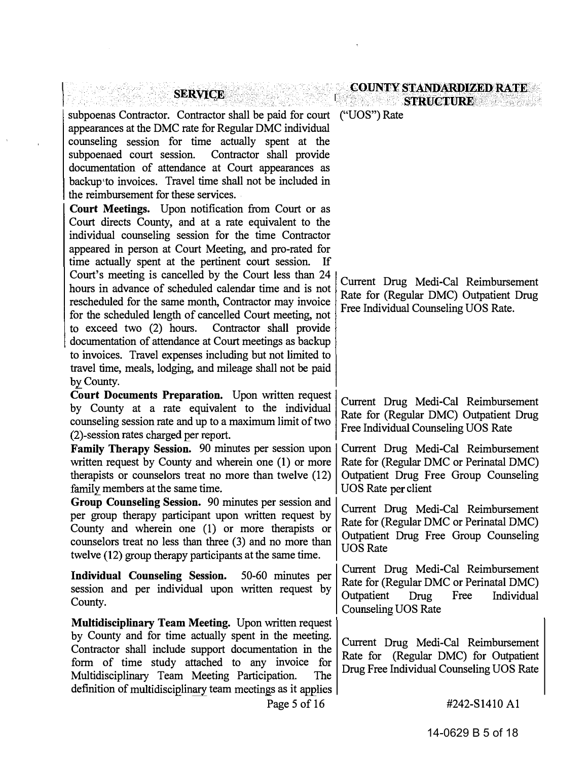# COUNTY STANDARDIZED RATE

SERVJQ!J, <sup>&</sup>gt;. . . . · . •.· subpoenas Contractor. Contractor shall be paid for court ("UOS") Rate appearances at the DMC rate for Regular DMC individual counseling session for time actually spent at the subpoenaed court session. Contractor shall provide documentation of attendance at Court appearances as backup'to invoices. Travel time shall not be included in the reimbursement for these services.

•.

Court Meetings. Upon notification from Court or as Court directs County, and at a rate equivalent to the individual counseling session for the time Contractor appeared in person at Court Meeting, and pro-rated for time actually spent at the pertinent court session. If Court's meeting is cancelled by the Court less than 24 Current Drug Medi-Cal Reimbursement hours in advance of scheduled calendar time and is not Rate for (Regular DMC) Outpatient Drug rescheduled for the same month, Contractor may invoice  $\begin{bmatrix} \text{Rate} & \text{for (Regular DMC)} \\ \text{Free Individual Coumseling UOS Rate.} \end{bmatrix}$ for the scheduled length of cancelled Court meeting, not to exceed two (2) hours. Contractor shall provide documentation of attendance at Court meetings as backup to invoices. Travel expenses including but not limited to travel time, meals, lodging, and mileage shall not be paid by County.

**Court Documents Preparation.** Upon written request<br>by County at a rate equivalent to the individual<br>counseling session rate and up to a maximum limit of two<br>Free Individual Counseling UOS Rate  $(2)$ -session rates charged per report.

Family Therapy Session. 90 minutes per session upon | Current Drug Medi-Cal Reimbursement written request by County and wherein one  $(1)$  or more Rate for (Regular DMC or Perinatal DMC) therapists or counselors treat no more than twelve  $(12)$  Outpatient Drug Free Group Counseling family members at the same time. UOS Rate per client

Group Counseling Session. 90 minutes per session and Current Drug Medi-Cal Reimbursement County and wherein one (1) or more therapists or<br>counselors treat no less than three (3) and no more than<br>UOS Rate twelve  $(12)$  group therapy participants at the same time.

Individual Counseling Session. 50-60 minutes per session and per individual upon written request by Rate for (Regular DMC or Perinatal DMC)<br>Cutpatient Drug Free Individual County.<br>
County.<br>
Counseling UOS Rate

Multidisciplinary Team Meeting. Upon written request by County and for time actually spent in the meeting. Current Drug Medi-Cal Reimbursement Contractor shall include support documentation in the Rate for (Regular DMC) for Outpatient form of time study attached to any invoice for Rate for (Regular DMC) for Outpatient Multidisciplinary Team Meeting Participation. The Drug Free Individual Counseling UOS Rate definition of multidisciplinary team meetings as it applies

. ' ',�.. '·•. .STRlJCTURE!.. · > ;

Current Drug Medi-Cal Reimbursement

Page 5 of 16 #242-81410 A1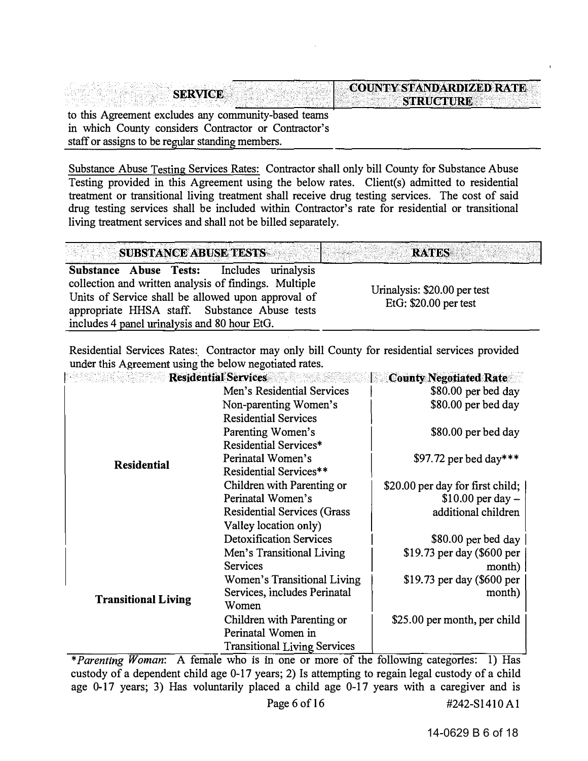|  |  |  |  |  |                |  |  |  |  |  |  |                  |  | <b>COUNTY STANDARDIZED RATE</b> |
|--|--|--|--|--|----------------|--|--|--|--|--|--|------------------|--|---------------------------------|
|  |  |  |  |  |                |  |  |  |  |  |  |                  |  |                                 |
|  |  |  |  |  |                |  |  |  |  |  |  |                  |  |                                 |
|  |  |  |  |  |                |  |  |  |  |  |  |                  |  |                                 |
|  |  |  |  |  |                |  |  |  |  |  |  |                  |  |                                 |
|  |  |  |  |  |                |  |  |  |  |  |  |                  |  |                                 |
|  |  |  |  |  | <b>SERVICE</b> |  |  |  |  |  |  |                  |  |                                 |
|  |  |  |  |  |                |  |  |  |  |  |  |                  |  |                                 |
|  |  |  |  |  |                |  |  |  |  |  |  |                  |  |                                 |
|  |  |  |  |  |                |  |  |  |  |  |  |                  |  |                                 |
|  |  |  |  |  |                |  |  |  |  |  |  |                  |  |                                 |
|  |  |  |  |  |                |  |  |  |  |  |  | <b>STRUCTURE</b> |  |                                 |
|  |  |  |  |  |                |  |  |  |  |  |  |                  |  |                                 |
|  |  |  |  |  |                |  |  |  |  |  |  |                  |  |                                 |
|  |  |  |  |  |                |  |  |  |  |  |  |                  |  |                                 |
|  |  |  |  |  |                |  |  |  |  |  |  |                  |  |                                 |
|  |  |  |  |  |                |  |  |  |  |  |  |                  |  |                                 |
|  |  |  |  |  |                |  |  |  |  |  |  |                  |  |                                 |
|  |  |  |  |  |                |  |  |  |  |  |  |                  |  |                                 |
|  |  |  |  |  |                |  |  |  |  |  |  |                  |  |                                 |

to this Agreement excludes any community-based teams in which County considers Contractor or Contractor's staff or assigns to be regular standing members.

Substance Abuse Testing Services Rates: Contractor shall only bill County for Substance Abuse Testing provided in this Agreement using the below rates. Client(s) admitted to residential treatment or transitional living treatment shall receive drug testing services. The cost of said drug testing services shall be included within Contractor's rate for residential or transitional living treatment services and shall not be billed separately.

| SUBSTANCE ABUSE TESTS                                 | <b>RATES</b>                 |
|-------------------------------------------------------|------------------------------|
| Substance Abuse Tests: Includes urinalysis            |                              |
| collection and written analysis of findings. Multiple | Urinalysis: \$20.00 per test |
| Units of Service shall be allowed upon approval of    | EtG: \$20.00 per test        |
| appropriate HHSA staff. Substance Abuse tests         |                              |
| includes 4 panel urinalysis and 80 hour EtG.          |                              |

Residential Services Rates: Contractor may only bill County for residential services provided under this Agreement using the below negotiated rates.

|                            | <b>Residential Services</b>         | <b>County Negotiated Rate</b>    |
|----------------------------|-------------------------------------|----------------------------------|
|                            | Men's Residential Services          | \$80.00 per bed day              |
|                            | Non-parenting Women's               | \$80.00 per bed day              |
|                            | <b>Residential Services</b>         |                                  |
|                            | Parenting Women's                   | \$80.00 per bed day              |
|                            | Residential Services*               |                                  |
| <b>Residential</b>         | Perinatal Women's                   | \$97.72 per bed day***           |
|                            | Residential Services**              |                                  |
|                            | Children with Parenting or          | \$20.00 per day for first child; |
|                            | Perinatal Women's                   | $$10.00$ per day $-$             |
|                            | <b>Residential Services (Grass</b>  | additional children              |
|                            | Valley location only)               |                                  |
|                            | <b>Detoxification Services</b>      | \$80.00 per bed day              |
|                            | Men's Transitional Living           | \$19.73 per day (\$600 per       |
|                            | <b>Services</b>                     | month)                           |
|                            | Women's Transitional Living         | \$19.73 per day (\$600 per       |
| <b>Transitional Living</b> | Services, includes Perinatal        | month)                           |
|                            | Women                               |                                  |
|                            | Children with Parenting or          | \$25.00 per month, per child     |
|                            | Perinatal Women in                  |                                  |
|                            | <b>Transitional Living Services</b> |                                  |

\**Parenting Woman*: A female who is in one or more of the following categories: 1) Has custody of a dependent child age 0-17 years; 2) Is attempting to regain legal custody of a child age 0-17 years; 3) Has voluntarily placed a child age 0-17 years with a caregiver and is

Page 6 of 16 #242-S1410 A1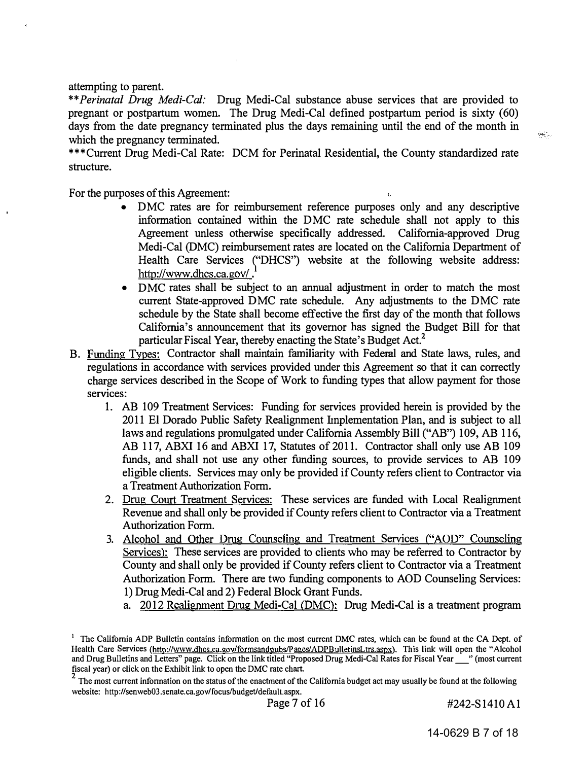attempting to parent.

\*\*Perinatal Drug Medi-Cal: Drug Medi-Cal substance abuse services that are provided to pregnant or postpartum women. The Drug Medi-Cal defined postpartum period is sixty (60) days from the date pregnancy terminated plus the days remaining until the end of the month in which the pregnancy terminated.

\*\*\*Current Drug Medi-Cal Rate: DCM for Perinatal Residential, the County standardized rate structure.

For the purposes of this Agreement:

• DMC rates are for reimbursement reference purposes only and any descriptive information contained within the DMC rate schedule shall not apply to this Agreement unless otherwise specifically addressed. California-approved Drug Medi-Cal (DMC) reimbursement rates are located on the California Department of Health Care Services ("DHCS") website at the following website address: http://www.dhcs.ca.gov/ .

 $\hat{r}$ 

- DMC rates shall be subject to an annual adjustment in order to match the most current State-approved DMC rate schedule. Any adjustments to the DMC rate schedule by the State shall become effective the first day of the month that follows California's announcement that its governor has signed the Budget Bill for that particular Fiscal Year, thereby enacting the State's Budget Act.<sup>2</sup>
- B. Funding Types: Contractor shall maintain familiarity with Federal and State laws, rules, and regulations in accordance with services provided under this Agreement so that it can correctly charge services described in the Scope of Work to funding types that allow payment for those services:
	- 1. AB 109 Treatment Services: Funding for services provided herein is provided by the 2011 El Dorado Public Safety Realignment hnplementation Plan, and is subject to all laws and regulations promulgated under California Assembly Bill ("AB") 109, AB 116, AB 117, ABXI 16 and ABXI 17, Statutes of 2011. Contractor shall only use AB 109 funds, and shall not use any other funding sources, to provide services to AB 109 eligible clients. Services may only be provided if County refers client to Contractor via a Treatment Authorization Form.
	- 2. Drug Court Treatment Services: These services are funded with Local Realignment Revenue and shall only be provided if County refers client to Contractor via a Treatment Authorization Form.
	- 3. Alcohol and Other Drug Counseling and Treatment Services ("AOD" Counseling Services): These services are provided to clients who may be referred to Contractor by County and shall only be provided if County refers client to Contractor via a Treatment Authorization Form. There are two funding components to AOD Counseling Services: 1) Drug Medi-Cal and 2) Federal Block Grant Funds.
		- a. 2012 Realignment Drug Medi-Cal (DMC): Drug Medi-Cal is a treatment program

 $\mathcal{H}_{\mathcal{C}}$  .

<sup>&</sup>lt;sup>1</sup> The California ADP Bulletin contains information on the most current DMC rates, which can be found at the CA Dept. of Health Care Services (http://www.dhcs.ca.gov/formsandpubs/Pages/ADPBulletinsLtrs.aspx). This link will open the "Alcohol and Drug Bulletins and Letters" page. Click on the link titled "Proposed Drug Medi-Cal Rates for Fiscal Year\_" (most current fiscal year) or click on the Exhibit link to open the DMC rate chart

<sup>&</sup>lt;sup>2</sup> The most current information on the status of the enactment of the California budget act may usually be found at the following website: http://senweb03.senate.ca.gov/focus/budget/default.aspx.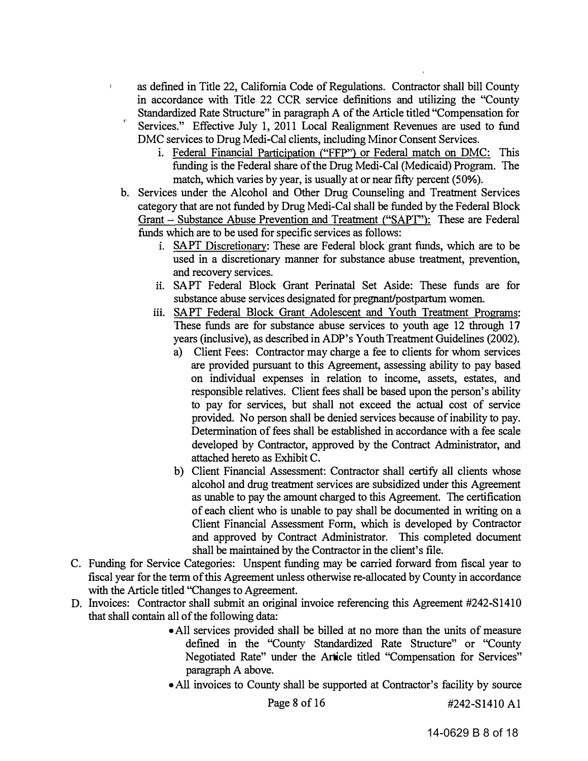as defined in Title 22, California Code of Regulations. Contractor shall bill County in accordance with Title 22 CCR service definitions and utilizing the "County Standardized Rate Structure" in paragraph A of the Article titled "Compensation for Services." Effective July 1, 2011 Local Realignment Revenues are used to fund DMC services to Drug Medi-Cal clients, including Minor Consent Services.

 $\mathbf{t}$ 

- i. Federal Financial Participation ("FFP") or Federal match on DMC: This funding is the Federal share of the Drug Medi-Cal (Medicaid) Program. The match, which varies by year, is usually at or near fifty percent (50%).
- b. Services under the Alcohol and Other Drug Counseling and Treatment Services category that are not funded by Drug Medi-Cal shall be funded by the Federal Block Grant - Substance Abuse Prevention and Treatment ("SAPT"): These are Federal funds which are to be used for specific services as follows:
	- 1. SAPT Discretionary: These are Federal block grant funds, which are to be used in a discretionary manner for substance abuse treatment, prevention, and recovery services.
	- ii. SAPT Federal Block Grant Perinatal Set Aside: These funds are for substance abuse services designated for pregnant/postpartum women.
	- iii. SAPT Federal Block Grant Adolescent and Youth Treatment Programs: These funds are for substance abuse services to youth age 12 through 17 years (inclusive), as described in ADP's Youth Treatment Guidelines (2002).
		- a) Client Fees: Contractor may charge a fee to clients for whom services are provided pursuant to this Agreement, assessing ability to pay based on individual expenses in relation to income, assets, estates, and responsible relatives. Client fees shall be based upon the person's ability to pay for services, but shall not exceed the actual cost of service provided. No person shall be denied services because of inability to pay. Determination of fees shall be established in accordance with a fee scale developed by Contractor, approved by the Contract Administrator, and attached hereto as Exhibit C.
		- b) Client Financial Assessment: Contractor shall certify all clients whose alcohol and drug treatment services are subsidized under this Agreement as unable to pay the amount charged to this Agreement. The certification of each client who is unable to pay shall be documented in writing on a Client Financial Assessment Form, which is developed by Contractor and approved by Contract Administrator. This completed document shall be maintained by the Contractor in the client's file.
- C. Funding for Service Categories: Unspent funding may be carried forward from fiscal year to fiscal year for the term of this Agreement unless otherwise re-allocated by County in accordance with the Article titled "Changes to Agreement.
- D. Invoices: Contractor shall submit an original invoice referencing this Agreement #242-S1410 that shall contain all of the following data:
	- All services provided shall be billed at no more than the units of measure defined in the "County Standardized Rate Structure" or "County Negotiated Rate" under the Article titled "Compensation for Services" paragraph A above.
	- All invoices to County shall be supported at Contractor's facility by source

Page 8 of 16 #242-S1410 A1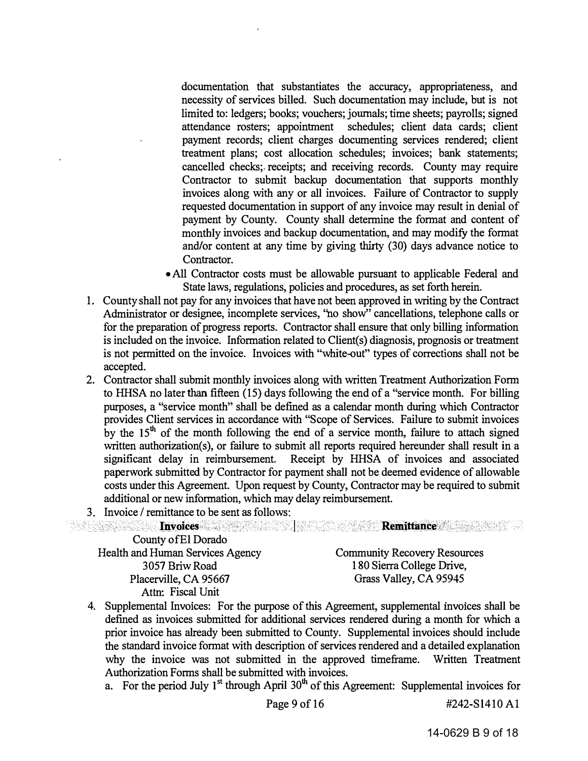documentation that substantiates the accuracy, appropriateness, and necessity of services billed. Such documentation may include, but is not limited to: ledgers; books; vouchers; journals; time sheets; payrolls; signed attendance rosters; appointment schedules; client data cards; client payment records; client charges documenting services rendered; client treatment plans; cost allocation schedules; invoices; bank statements; cancelled checks;. receipts; and receiving records. County may require Contractor to submit backup documentation that supports monthly invoices along with any or all invoices. Failure of Contractor to supply requested documentation in support of any invoice may result in denial of payment by County. County shall determine the format and content of monthly invoices and backup documentation, and may modify the format \_and/or content at any time by giving thirty (30) days advance notice to Contractor.

- All Contractor costs must be allowable pursuant to applicable Federal and State laws, regulations, policies and procedures, as set forth herein.
- 1. County shall not pay for any invoices that have not been approved in writing by the Contract Administrator or designee, incomplete services, "no show'' cancellations, telephone calls or for the preparation of progress reports. Contractor shall ensure that only billing information is included on the invoice. Information related to Client(s) diagnosis, prognosis or treatment is not permitted on the invoice. Invoices with " white-out" types of corrections shall not be accepted.
- 2. Contractor shall submit monthly invoices along with written Treatment Authorization Form to HHSA no later than fifteen ( 15) days following the end of a "service month. For billing purposes, a "service month" shall be defined as a calendar month during which Contractor provides Client services in accordance with "Scope of Services. Failure to submit invoices by the  $15<sup>th</sup>$  of the month following the end of a service month, failure to attach signed written authorization(s), or failure to submit all reports required hereunder shall result in a significant delay in reimbursement. Receipt by HHSA of invoices and associated paperwork submitted by Contractor for payment shall not be deemed evidence of allowable costs under this Agreement. Upon request by County, Contractor may be required to submit additional or new information, which may delay reimbursement.
- 3. Invoice / remittance to be sent as follows:

| <b>Example 12 Invoices Example 12 Invoices Example 2018 Remittance Example 2019</b> |
|-------------------------------------------------------------------------------------|
|                                                                                     |
| <b>Community Recovery Resources</b>                                                 |
| 180 Sierra College Drive,                                                           |
| Grass Valley, CA 95945                                                              |
|                                                                                     |
|                                                                                     |

- 4. Supplemental Invoices: For the purpose of this Agreement, supplemental invoices shall be defined as invoices submitted for additional services rendered during a month for which a prior invoice has already been submitted to County. Supplemental invoices should include the standard invoice format with description of services rendered and a detailed explanation why the invoice was not submitted in the approved timeframe. Written Treatment Authorization Forms shall be submitted with invoices.
	- a. For the period July 1<sup>st</sup> through April  $30<sup>th</sup>$  of this Agreement: Supplemental invoices for

Page 9 of 16 #242-S1410 A1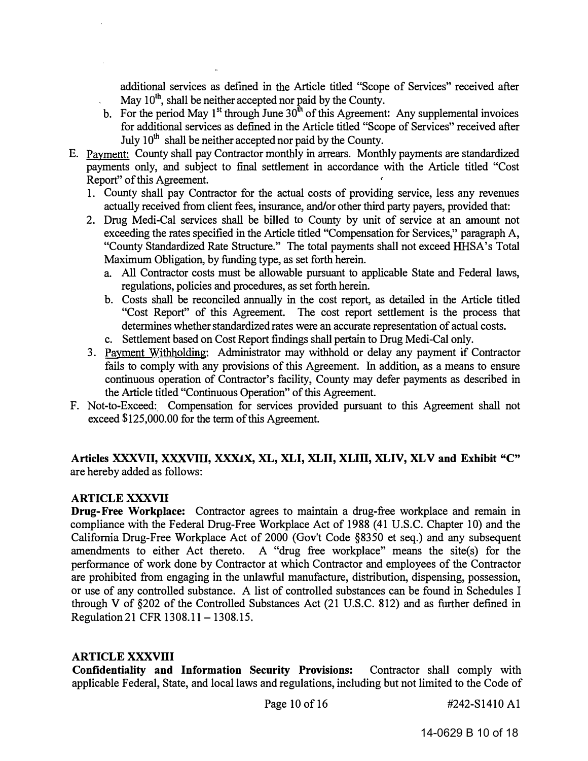additional services as defined in the Article titled "Scope of Services" received after May  $10^{th}$ , shall be neither accepted nor paid by the County.<br>For the period May  $1^{st}$  through June  $30^{th}$  of this Agreement

- b. For the period May  $1^{st}$  through June  $30^{th}$  of this Agreement: Any supplemental invoices for additional services as defined in the Article titled "Scope of Services" received after July  $10^{th}$  shall be neither accepted nor paid by the County.
- E. Pavment: County shall pay Contractor monthly in arrears. Monthly payments are standardized payments only, and subject to final settlement in accordance with the Article titled "Cost Report'' of this Agreement.
	- 1. County shall pay Contractor for the actual costs of providing service, less any revenues actually received from client fees, insurance, and/or other third party payers, provided that:
	- 2. Drug Medi-Cal services shall be billed to County by unit of service at an amount not exceeding the rates specified in the Article titled "Compensation for Services," paragraph A, "County Standardized Rate Structure." The total payments shall not exceed HHSA's Total Maximum Obligation, by funding type, as set forth herein.
		- a. All Contractor costs must be allowable pursuant to applicable State and Federal laws, regulations, policies and procedures, as set forth herein.
		- b. Costs shall be reconciled annually in the cost report, as detailed in the Article titled "Cost Report" of this Agreement. The cost report settlement is the process that determines whether standardized rates were an accurate representation of actual costs.
		- c. Settlement based on Cost Report findings shall pertain to Drug Medi-Cal only.
	- 3. Payment Withholding: Administrator may withhold or delay any payment if Contractor fails to comply with any provisions of this Agreement. In addition, as a means to ensure continuous operation of Contractor's facility, County may defer payments as described in the Article titled "Continuous Operation" of this Agreement.
- F. Not-to-Exceed: Compensation for services provided pursuant to this Agreement shall not exceed \$125,000.00 for the term of this Agreement.

#### Articles XXXVII, XXXVIII, XXXIX, XL, XLI, XLII, XLIII, XLIV, XLV and Exhibit "C" are hereby added as follows:

#### ARTICLE XXXVII

Drug-Free Workplace: Contractor agrees to maintain a drug-free workplace and remain in compliance with the Federal Drug-Free Workplace Act of 1988 (41 U.S.C. Chapter 10) and the California Drug-Free Workplace Act of 2000 (Gov't Code §8350 et seq.) and any subsequent amendments to either Act thereto. A "drug free workplace" means the site(s) for the performance of work done by Contractor at which Contractor and employees of the Contractor are prohibited from engaging in the unlawful manufacture, distribution, dispensing, possession, or use of any controlled substance. A list of controlled substances can be found in Schedules I through V of §202 of the Controlled Substances Act (21 U.S.C. 812) and as further defined in Regulation 21 CFR 1308.11 - 1308.15.

#### ARTICLE XXXVIII

Confidentiality and Information Security Provisions: Contractor shall comply with applicable Federal, State, and local laws and regulations, including but not limited to the Code of

Page 10 of 16 #242-S1410 A1

14-0629 B 10 of 18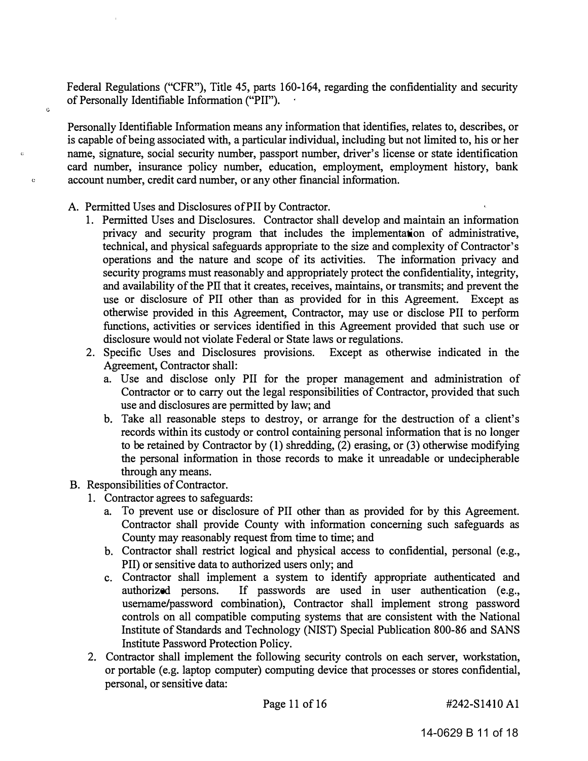Federal Regulations ("CFR"), Title 45, parts 160-164, regarding the confidentiality and security of Personally Identifiable Information ("PII").

Personally Identifiable Information means any information that identifies, relates to, describes, or is capable of being associated with, a particular individual, including but not limited to, his or her <sup>o</sup> name, signature, social security number, passport number, driver's license or state identification card number, insurance policy number, education, employment, employment history, bank  $\cdot$  account number, credit card number, or any other financial information.

A. Permitted Uses and Disclosures ofPII by Contractor.

Ċ.

- 1. Permitted Uses and Disclosures. Contractor shall develop and maintain an information privacy and security program that includes the implementation of administrative, technical, and physical safeguards appropriate to the size and complexity of Contractor's operations and the nature and scope of its activities. The information privacy and security programs must reasonably and appropriately protect the confidentiality, integrity, and availability of the PIT that it creates, receives, maintains, or transmits; and prevent the use or disclosure of PII other than as provided for in this Agreement. Except as otherwise provided in this Agreement, Contractor, may use or disclose PII to perform functions, activities or services identified in this Agreement provided that such use or disclosure would not violate Federal or State laws or regulations.
- 2. Specific Uses and Disclosures provisions. Except as otherwise indicated in the Agreement, Contractor shall:
	- a. Use and disclose only PII for the proper management and administration of Contractor or to carry out the legal responsibilities of Contractor, provided that such use and disclosures are permitted by law; and
	- b. Take all reasonable steps to destroy, or arrange for the destruction of a client's records within its custody or control containing personal information that is no longer to be retained by Contractor by  $(1)$  shredding,  $(2)$  erasing, or  $(3)$  otherwise modifying the personal information in those records to make it unreadable or undecipherable through any means.
- B. Responsibilities of Contractor.
	- 1. Contractor agrees to safeguards:
		- a. To prevent use or disclosure of PII other than as provided for by this Agreement. Contractor shall provide County with information concerning such safeguards as County may reasonably request from time to time; and
		- b. Contractor shall restrict logical and physical access to confidential, personal (e.g., PII) or sensitive data to authorized users only; and
		- c. Contractor shall implement a system to identify appropriate authenticated and authorized persons. If passwords are used in user authentication (e.g., usemame/password combination), Contractor shall implement strong password controls on all compatible computing systems that are consistent with the National Institute of Standards and Technology (NIST) Special Publication 800-86 and SANS Institute Password Protection Policy.
	- 2. Contractor shall implement the following security controls on each server, workstation, or portable (e.g. laptop computer) computing device that processes or stores confidential, personal, or sensitive data: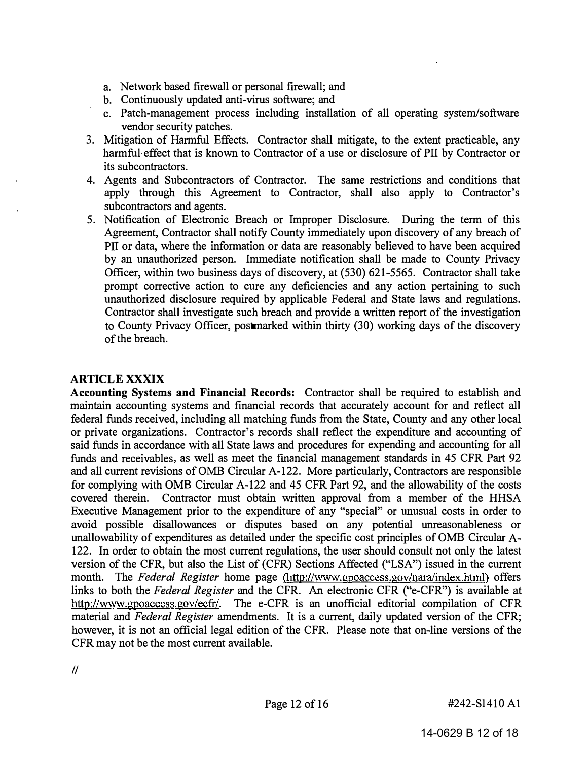- a. Network based firewall or personal firewall; and
- b. Continuously updated anti-virus software; and
- c. Patch-management process including installation of all operating system/software vendor security patches.
- 3. Mitigation of Harmful Effects. Contractor shall mitigate, to the extent practicable, any harmful· effect that is known to Contractor of a use or disclosure of PII by Contractor or its subcontractors.
- 4. Agents and Subcontractors of Contractor. The same restrictions and conditions that apply through this Agreement to Contractor, shall also apply to Contractor's subcontractors and agents.
- 5. Notification of Electronic Breach or Improper Disclosure. During the term of this Agreement, Contractor shall notify County immediately upon discovery of any breach of PII or data, where the information or data are reasonably believed to have been acquired by an unauthorized person. Immediate notification shall be made to County Privacy Officer, within two business days of discovery, at (530) 621-5565. Contractor shall take prompt corrective action to cure any deficiencies and any action pertaining to such unauthorized disclosure required by applicable Federal and State laws and regulations. Contractor shall investigate such breach and provide a written report of the investigation to County Privacy Officer, postmarked within thirty (30) working days of the discovery of the breach.

## ARTICLE XXXIX

é.

Accounting Systems and Financial Records: Contractor shall be required to establish and maintain accounting systems and financial records that accurately account for and reflect all federal funds received, including all matching funds from the State, County and any other local or private organizations. Contractor's records shall reflect the expenditure and accounting of said funds in accordance with all State laws and procedures for expending and accounting for all funds and receivables, as well as meet the fmancial management standards in 45 CFR Part 92 and all current revisions of OMB Circular A-122. More particularly, Contractors are responsible for complying with OMB Circular A-122 and 45 CFR Part 92, and the allowability of the costs covered therein. Contractor must obtain written approval from a member of the HHSA Executive Management prior to the expenditure of any "special" or unusual costs in order to avoid possible disallowances or disputes based on any potential unreasonableness or unallowability of expenditures as detailed under the specific cost principles of OMB Circular A-122. In order to obtain the most current regulations, the user should consult not only the latest version of the CFR, but also the List of (CFR) Sections Affected ("LSA") issued in the current month. The Federal Register home page (http://www.gpoaccess.gov/nara/index.html) offers links to both the *Federal Register* and the CFR. An electronic CFR ("e-CFR") is available at http://www.gpoaccess.gov/ecfr/. The e-CFR is an unofficial editorial compilation of CFR material and Federal Register amendments. It is a current, daily updated version of the CFR; however, it is not an official legal edition of the CFR. Please note that on-line versions of the CFR may not be the most current available.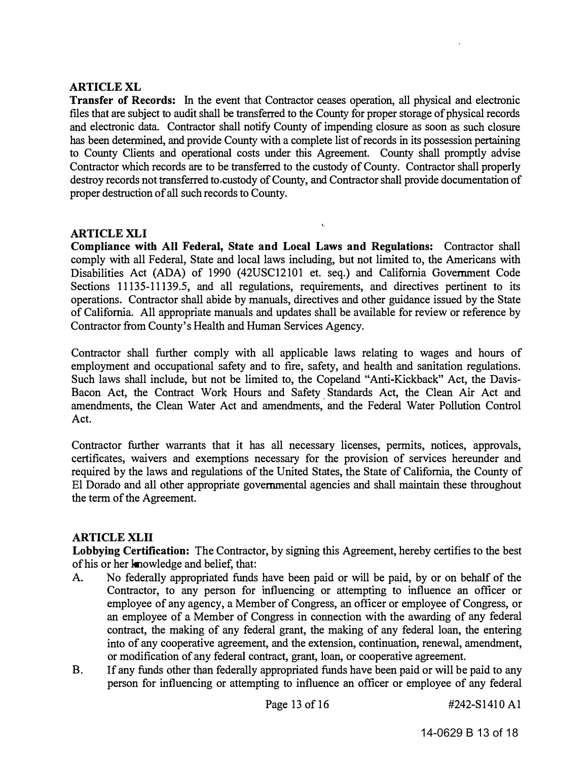#### ARTICLE XL

Transfer of Records: In the event that Contractor ceases operation, all physical and electronic files that are subject to audit shall be transferred to the County for proper storage of physical records and electronic data. Contractor shall notify County of impending closure as soon as such closure has been determined, and provide County with a complete list of records in its possession pertaining to County Clients and operational costs under this Agreement. County shall promptly advise Contractor which records are to be transferred to the custody of County. Contractor shall properly destroy records not transferred to custody of County, and Contractor shall provide documentation of proper destruction of all such records to County.

#### ARTICLE XLI

Compliance with All Federal, State and Local Laws and Regulations: Contractor shall comply with all Federal, State and local laws including, but not limited to, the Americans with Disabilities Act (ADA) of 1990 (42USC12101 et. seq.) and California Government Code Sections 11135-11139.5, and all regulations, requirements, and directives pertinent to its operations. Contractor shall abide by manuals, directives and other guidance issued by the State of California. All appropriate manuals and updates shall be available for review or reference by Contractor from County's Health and Human Services Agency.

 $\hat{\mathbf{G}}$ 

Contractor shall further comply with all applicable laws relating to wages and hours of employment and occupational safety and to fire, safety, and health and sanitation regulations. Such laws shall include, but not be limited to, the Copeland "Anti-Kickback" Act, the Davis-Bacon Act, the Contract Work Hours and Safety. Standards Act, the Clean Air Act and amendments, the Clean Water Act and amendments, and the Federal Water Pollution Control Act.

Contractor further warrants that it has all necessary licenses, permits, notices, approvals, certificates, waivers and exemptions necessary for the provision of services hereunder and required by the laws and regulations of the United States, the State of California, the County of El Dorado and all other appropriate governmental agencies and shall maintain these throughout the term of the Agreement.

#### ARTICLEXLll

Lobbying Certification: The Contractor, by signing this Agreement, hereby certifies to the best of his or her knowledge and belief, that:

- A. No federally appropriated funds have been paid or will be paid, by or on behalf of the Contractor, to any person for influencing or attempting to influence an officer or employee of any agency, a Member of Congress, an officer or employee of Congress, or an employee of a Member of Congress in connection with the awarding of any federal contract, the making of any federal grant, the making of any federal loan, the entering into of any cooperative agreement, and the extension, continuation, renewal, amendment, or modification of any federal contract, grant, loan, or cooperative agreement.
- B. If any funds other than federally appropriated funds have been paid or will be paid to any person for influencing or attempting to influence an officer or employee of any federal

Page 13 of 16 #242-S1410 A1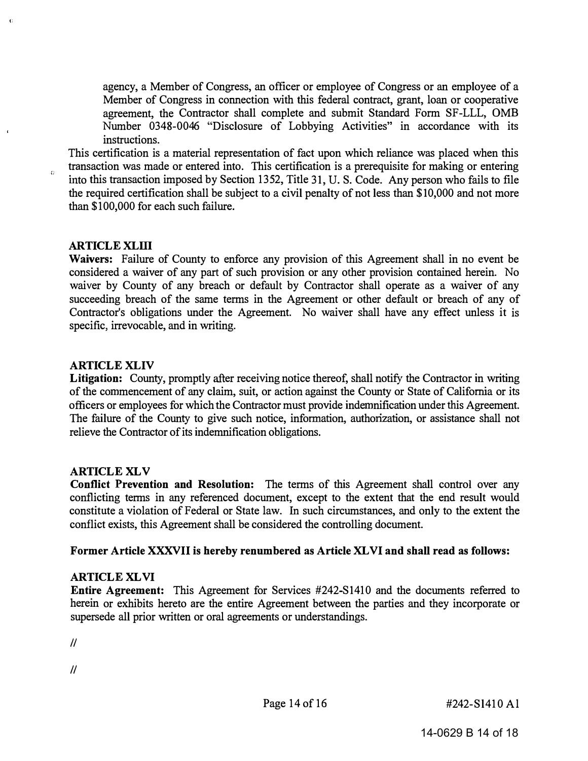agency, a Member of Congress, an officer or employee of Congress or an employee of a Member of Congress in connection with this federal contract, grant, loan or cooperative agreement, the Contractor shall complete and submit Standard Form SF-LLL, OMB Number 0348-0046 "Disclosure of Lobbying Activities" in accordance with its instructions.

This certification is a material representation of fact upon which reliance was placed when this transaction was made or entered into. This certification is a prerequisite for making or entering into this transaction imposed by Section 1352, Title 31, U. S. Code. Any person who fails to file the required certification shall be subject to a civil penalty of not less than \$ 10,000 and not more than \$100,000 for each such failure.

#### **ARTICLE XLIII**

 $\hat{C}$ 

ó

Waivers: Failure of County to enforce any provision of this Agreement shall in no event be considered a waiver of any part of such provision or any other provision contained herein. No waiver by County of any breach or default by Contractor shall operate as a waiver of any succeeding breach of the same terms in the Agreement or other default or breach of any of Contractor's obligations under the Agreement. No waiver shall have any effect unless it is specific, irrevocable, and in writing.

#### ARTICLE XLIV

Litigation: County, promptly after receiving notice thereof, shall notify the Contractor in writing of the commencement of any claim, suit, or action against the County or State of California or its officers or employees for which the Contractor must provide indemnification under this Agreement. The failure of the County to give such notice, information, authorization, or assistance shall not relieve the Contractor of its indemnification obligations.

#### ARTICLE XLV

Conflict Prevention and Resolution: The terms of this Agreement shall control over any conflicting terms in any referenced document, except to the extent that the end result would constitute a violation of Federal or State law. In such circumstances, and only to the extent the conflict exists, this Agreement shall be considered the controlling document.

#### Former Article XXXVII is hereby renumbered as Article XL VI and shall read as follows:

#### ARTICLE XLVI

Entire Agreement: This Agreement for Services #242-S1410 and the documents referred to herein or exhibits hereto are the entire Agreement between the parties and they incorporate or supersede all prior written or oral agreements or understandings.

 $\mathcal{U}$ 

 $\mathcal{U}$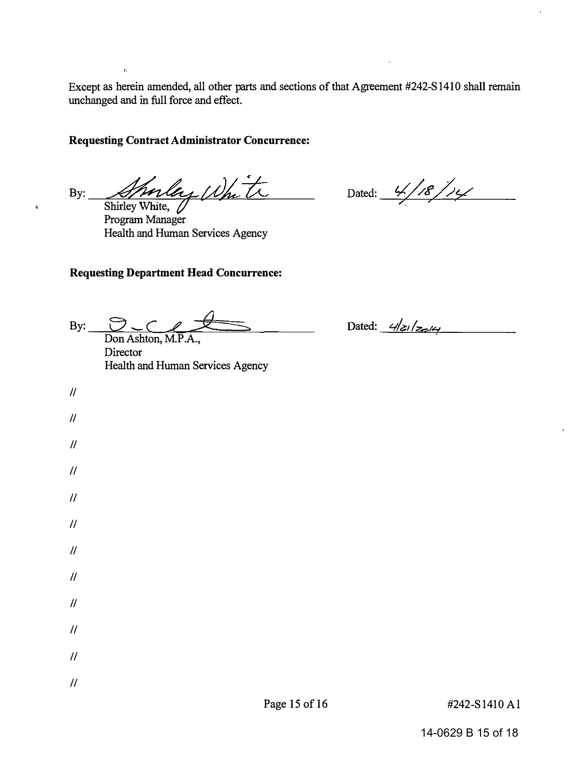Except as herein amended, all other parts and sections of that Agreement #242-S1410 shall remain unchanged and in full force and effect.

#### Requesting Contract Administrator Concurrence:

 $\tilde{\mathbf{r}}$ 

By: Shorley White

Shirley White, Program Manager Health and Human Services Agency

Dated:  $4/18/14$ 

#### Requesting Department Head Concurrence:

By:  $DCA$ Don Ashton, M.P.A.,

**Director** Health and Human Services Agency

Dated:  $\frac{4}{z_1/z_2}$ 

 $\mathcal{U}$ 

 $\ddot{a}$ 

 $\mathcal{U}$ 

 $\mathcal{U}$ 

 $\mathcal{U}$ 

 $\mathcal{U}$ 

 $\mathcal{U}$ 

 $\mathcal{U}$ 

 $\mathcal{U}$ 

 $\mathcal{U}$ 

 $\prime\prime$ 

 $\mathcal{U}$ 

 $\mathcal{U}$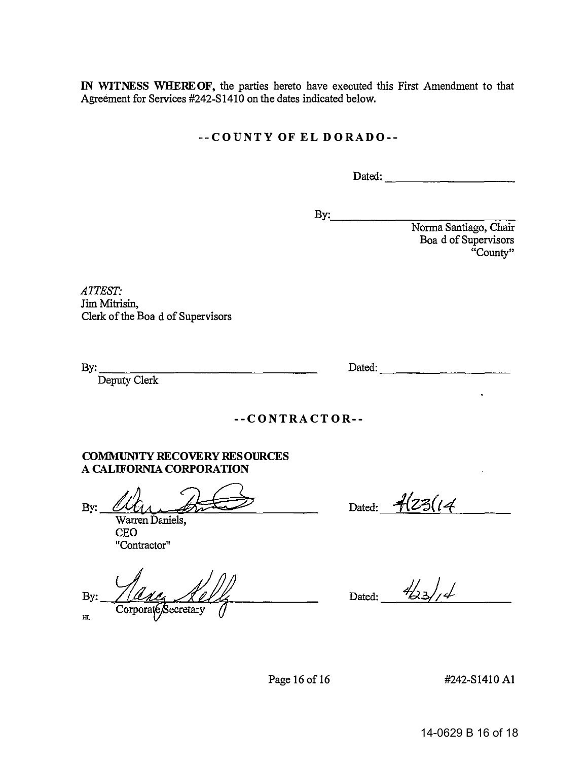IN WlTNESS WHEREOF, the parties hereto have executed this First Amendment to that Agreement for Services #242-S 1410 on the dates indicated below.

#### --COUNTY OF EL DORADO--

Dmoo: \_\_\_\_\_\_\_\_\_\_\_\_ \_\_

By: Norma Santiago, Chair Boa d of Supervisors "County"

AITEST: Jim Mitrisin, Clerk of the Boa d of Supervisors

By =-----=---- Deputy Clerk

Dated: \_\_\_\_\_\_\_\_ \_

--C ONTRA CTOR--

#### COMMUNITY RECOVERY RESOURCES A CALIFORNIA CORPORATION

:----------------

By:

Warren Daniels. **CEO** "Contractor"

 $By:$ Corporate Secretary HL,

Dated:  $\frac{4}{23}$ (14

Dated:  $\frac{4}{3}/4$ 

Page 16 of 16

#242-Sl410 AI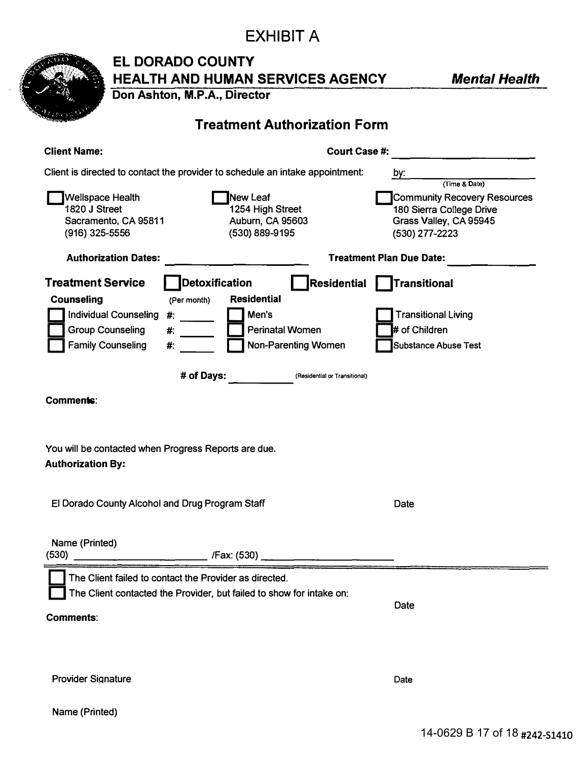# EXHIBIT A

| <b>EL DORADO COUNTY</b><br><b>HEALTH AND HUMAN SERVICES AGENCY</b><br><b>Mental Health</b><br>Don Ashton, M.P.A., Director<br><b>Treatment Authorization Form</b><br><b>Client Name:</b><br><b>Court Case #:</b><br>Client is directed to contact the provider to schedule an intake appointment:<br>by:<br>(Time & Date)<br>Community Recovery Resources<br><b>Wellspace Health</b><br>New Leaf<br>1820 J Street<br>1254 High Street<br>180 Sierra College Drive<br>Auburn, CA 95603<br>Grass Valley, CA 95945<br>Sacramento, CA 95811<br>(530) 889-9195<br>(916) 325-5556<br>(530) 277-2223<br><b>Authorization Dates:</b><br><b>Treatment Plan Due Date:</b><br><b>Detoxification</b><br>Residential<br><b>Treatment Service</b><br><b>Transitional</b><br><b>Residential</b><br><b>Counseling</b><br>(Per month)<br><b>Transitional Living</b><br><b>Individual Counseling</b><br>Men's<br>$\#$<br><b>Group Counseling</b><br># of Children<br><b>Perinatal Women</b><br>#:<br><b>Family Counseling</b><br><b>Non-Parenting Women</b><br><b>Substance Abuse Test</b><br>#:<br># of Days:<br>(Residential or Transitional)<br>Comments:<br>You will be contacted when Progress Reports are due.<br><b>Authorization By:</b><br>El Dorado County Alcohol and Drug Program Staff<br>Date<br>Name (Printed)<br>$(530)$ $\overbrace{\qquad \qquad }$ $\qquad \qquad$ $\qquad \qquad$ $\qquad \qquad$ $\qquad \qquad$ $\qquad \qquad$ $\qquad \qquad$ $\qquad \qquad$ $\qquad \qquad$ $\qquad \qquad$ $\qquad \qquad$ $\qquad \qquad$ $\qquad \qquad$ $\qquad \qquad$ $\qquad \qquad$ $\qquad \qquad$ $\qquad \qquad$ $\qquad \qquad$ $\qquad \qquad$ $\qquad \qquad$ $\qquad$ $\qquad \qquad$ $\qquad \qquad$ $\qquad$<br>The Client failed to contact the Provider as directed.<br>The Client contacted the Provider, but failed to show for intake on:<br>Date<br><b>Comments:</b><br><b>Provider Signature</b><br>Date |  | <b>EXHIBIT A</b> |  |
|--------------------------------------------------------------------------------------------------------------------------------------------------------------------------------------------------------------------------------------------------------------------------------------------------------------------------------------------------------------------------------------------------------------------------------------------------------------------------------------------------------------------------------------------------------------------------------------------------------------------------------------------------------------------------------------------------------------------------------------------------------------------------------------------------------------------------------------------------------------------------------------------------------------------------------------------------------------------------------------------------------------------------------------------------------------------------------------------------------------------------------------------------------------------------------------------------------------------------------------------------------------------------------------------------------------------------------------------------------------------------------------------------------------------------------------------------------------------------------------------------------------------------------------------------------------------------------------------------------------------------------------------------------------------------------------------------------------------------------------------------------------------------------------------------------------------------------------------------------------------------------------------------------------------------|--|------------------|--|
|                                                                                                                                                                                                                                                                                                                                                                                                                                                                                                                                                                                                                                                                                                                                                                                                                                                                                                                                                                                                                                                                                                                                                                                                                                                                                                                                                                                                                                                                                                                                                                                                                                                                                                                                                                                                                                                                                                                          |  |                  |  |
|                                                                                                                                                                                                                                                                                                                                                                                                                                                                                                                                                                                                                                                                                                                                                                                                                                                                                                                                                                                                                                                                                                                                                                                                                                                                                                                                                                                                                                                                                                                                                                                                                                                                                                                                                                                                                                                                                                                          |  |                  |  |
|                                                                                                                                                                                                                                                                                                                                                                                                                                                                                                                                                                                                                                                                                                                                                                                                                                                                                                                                                                                                                                                                                                                                                                                                                                                                                                                                                                                                                                                                                                                                                                                                                                                                                                                                                                                                                                                                                                                          |  |                  |  |
|                                                                                                                                                                                                                                                                                                                                                                                                                                                                                                                                                                                                                                                                                                                                                                                                                                                                                                                                                                                                                                                                                                                                                                                                                                                                                                                                                                                                                                                                                                                                                                                                                                                                                                                                                                                                                                                                                                                          |  |                  |  |
|                                                                                                                                                                                                                                                                                                                                                                                                                                                                                                                                                                                                                                                                                                                                                                                                                                                                                                                                                                                                                                                                                                                                                                                                                                                                                                                                                                                                                                                                                                                                                                                                                                                                                                                                                                                                                                                                                                                          |  |                  |  |
|                                                                                                                                                                                                                                                                                                                                                                                                                                                                                                                                                                                                                                                                                                                                                                                                                                                                                                                                                                                                                                                                                                                                                                                                                                                                                                                                                                                                                                                                                                                                                                                                                                                                                                                                                                                                                                                                                                                          |  |                  |  |
|                                                                                                                                                                                                                                                                                                                                                                                                                                                                                                                                                                                                                                                                                                                                                                                                                                                                                                                                                                                                                                                                                                                                                                                                                                                                                                                                                                                                                                                                                                                                                                                                                                                                                                                                                                                                                                                                                                                          |  |                  |  |
|                                                                                                                                                                                                                                                                                                                                                                                                                                                                                                                                                                                                                                                                                                                                                                                                                                                                                                                                                                                                                                                                                                                                                                                                                                                                                                                                                                                                                                                                                                                                                                                                                                                                                                                                                                                                                                                                                                                          |  |                  |  |
|                                                                                                                                                                                                                                                                                                                                                                                                                                                                                                                                                                                                                                                                                                                                                                                                                                                                                                                                                                                                                                                                                                                                                                                                                                                                                                                                                                                                                                                                                                                                                                                                                                                                                                                                                                                                                                                                                                                          |  |                  |  |
|                                                                                                                                                                                                                                                                                                                                                                                                                                                                                                                                                                                                                                                                                                                                                                                                                                                                                                                                                                                                                                                                                                                                                                                                                                                                                                                                                                                                                                                                                                                                                                                                                                                                                                                                                                                                                                                                                                                          |  |                  |  |
|                                                                                                                                                                                                                                                                                                                                                                                                                                                                                                                                                                                                                                                                                                                                                                                                                                                                                                                                                                                                                                                                                                                                                                                                                                                                                                                                                                                                                                                                                                                                                                                                                                                                                                                                                                                                                                                                                                                          |  |                  |  |
|                                                                                                                                                                                                                                                                                                                                                                                                                                                                                                                                                                                                                                                                                                                                                                                                                                                                                                                                                                                                                                                                                                                                                                                                                                                                                                                                                                                                                                                                                                                                                                                                                                                                                                                                                                                                                                                                                                                          |  |                  |  |
|                                                                                                                                                                                                                                                                                                                                                                                                                                                                                                                                                                                                                                                                                                                                                                                                                                                                                                                                                                                                                                                                                                                                                                                                                                                                                                                                                                                                                                                                                                                                                                                                                                                                                                                                                                                                                                                                                                                          |  |                  |  |
|                                                                                                                                                                                                                                                                                                                                                                                                                                                                                                                                                                                                                                                                                                                                                                                                                                                                                                                                                                                                                                                                                                                                                                                                                                                                                                                                                                                                                                                                                                                                                                                                                                                                                                                                                                                                                                                                                                                          |  |                  |  |
|                                                                                                                                                                                                                                                                                                                                                                                                                                                                                                                                                                                                                                                                                                                                                                                                                                                                                                                                                                                                                                                                                                                                                                                                                                                                                                                                                                                                                                                                                                                                                                                                                                                                                                                                                                                                                                                                                                                          |  |                  |  |
|                                                                                                                                                                                                                                                                                                                                                                                                                                                                                                                                                                                                                                                                                                                                                                                                                                                                                                                                                                                                                                                                                                                                                                                                                                                                                                                                                                                                                                                                                                                                                                                                                                                                                                                                                                                                                                                                                                                          |  |                  |  |
|                                                                                                                                                                                                                                                                                                                                                                                                                                                                                                                                                                                                                                                                                                                                                                                                                                                                                                                                                                                                                                                                                                                                                                                                                                                                                                                                                                                                                                                                                                                                                                                                                                                                                                                                                                                                                                                                                                                          |  |                  |  |
|                                                                                                                                                                                                                                                                                                                                                                                                                                                                                                                                                                                                                                                                                                                                                                                                                                                                                                                                                                                                                                                                                                                                                                                                                                                                                                                                                                                                                                                                                                                                                                                                                                                                                                                                                                                                                                                                                                                          |  |                  |  |
|                                                                                                                                                                                                                                                                                                                                                                                                                                                                                                                                                                                                                                                                                                                                                                                                                                                                                                                                                                                                                                                                                                                                                                                                                                                                                                                                                                                                                                                                                                                                                                                                                                                                                                                                                                                                                                                                                                                          |  |                  |  |
|                                                                                                                                                                                                                                                                                                                                                                                                                                                                                                                                                                                                                                                                                                                                                                                                                                                                                                                                                                                                                                                                                                                                                                                                                                                                                                                                                                                                                                                                                                                                                                                                                                                                                                                                                                                                                                                                                                                          |  |                  |  |
|                                                                                                                                                                                                                                                                                                                                                                                                                                                                                                                                                                                                                                                                                                                                                                                                                                                                                                                                                                                                                                                                                                                                                                                                                                                                                                                                                                                                                                                                                                                                                                                                                                                                                                                                                                                                                                                                                                                          |  |                  |  |
|                                                                                                                                                                                                                                                                                                                                                                                                                                                                                                                                                                                                                                                                                                                                                                                                                                                                                                                                                                                                                                                                                                                                                                                                                                                                                                                                                                                                                                                                                                                                                                                                                                                                                                                                                                                                                                                                                                                          |  |                  |  |
|                                                                                                                                                                                                                                                                                                                                                                                                                                                                                                                                                                                                                                                                                                                                                                                                                                                                                                                                                                                                                                                                                                                                                                                                                                                                                                                                                                                                                                                                                                                                                                                                                                                                                                                                                                                                                                                                                                                          |  |                  |  |
|                                                                                                                                                                                                                                                                                                                                                                                                                                                                                                                                                                                                                                                                                                                                                                                                                                                                                                                                                                                                                                                                                                                                                                                                                                                                                                                                                                                                                                                                                                                                                                                                                                                                                                                                                                                                                                                                                                                          |  |                  |  |
|                                                                                                                                                                                                                                                                                                                                                                                                                                                                                                                                                                                                                                                                                                                                                                                                                                                                                                                                                                                                                                                                                                                                                                                                                                                                                                                                                                                                                                                                                                                                                                                                                                                                                                                                                                                                                                                                                                                          |  |                  |  |
|                                                                                                                                                                                                                                                                                                                                                                                                                                                                                                                                                                                                                                                                                                                                                                                                                                                                                                                                                                                                                                                                                                                                                                                                                                                                                                                                                                                                                                                                                                                                                                                                                                                                                                                                                                                                                                                                                                                          |  |                  |  |
|                                                                                                                                                                                                                                                                                                                                                                                                                                                                                                                                                                                                                                                                                                                                                                                                                                                                                                                                                                                                                                                                                                                                                                                                                                                                                                                                                                                                                                                                                                                                                                                                                                                                                                                                                                                                                                                                                                                          |  |                  |  |
|                                                                                                                                                                                                                                                                                                                                                                                                                                                                                                                                                                                                                                                                                                                                                                                                                                                                                                                                                                                                                                                                                                                                                                                                                                                                                                                                                                                                                                                                                                                                                                                                                                                                                                                                                                                                                                                                                                                          |  |                  |  |
|                                                                                                                                                                                                                                                                                                                                                                                                                                                                                                                                                                                                                                                                                                                                                                                                                                                                                                                                                                                                                                                                                                                                                                                                                                                                                                                                                                                                                                                                                                                                                                                                                                                                                                                                                                                                                                                                                                                          |  |                  |  |
|                                                                                                                                                                                                                                                                                                                                                                                                                                                                                                                                                                                                                                                                                                                                                                                                                                                                                                                                                                                                                                                                                                                                                                                                                                                                                                                                                                                                                                                                                                                                                                                                                                                                                                                                                                                                                                                                                                                          |  |                  |  |